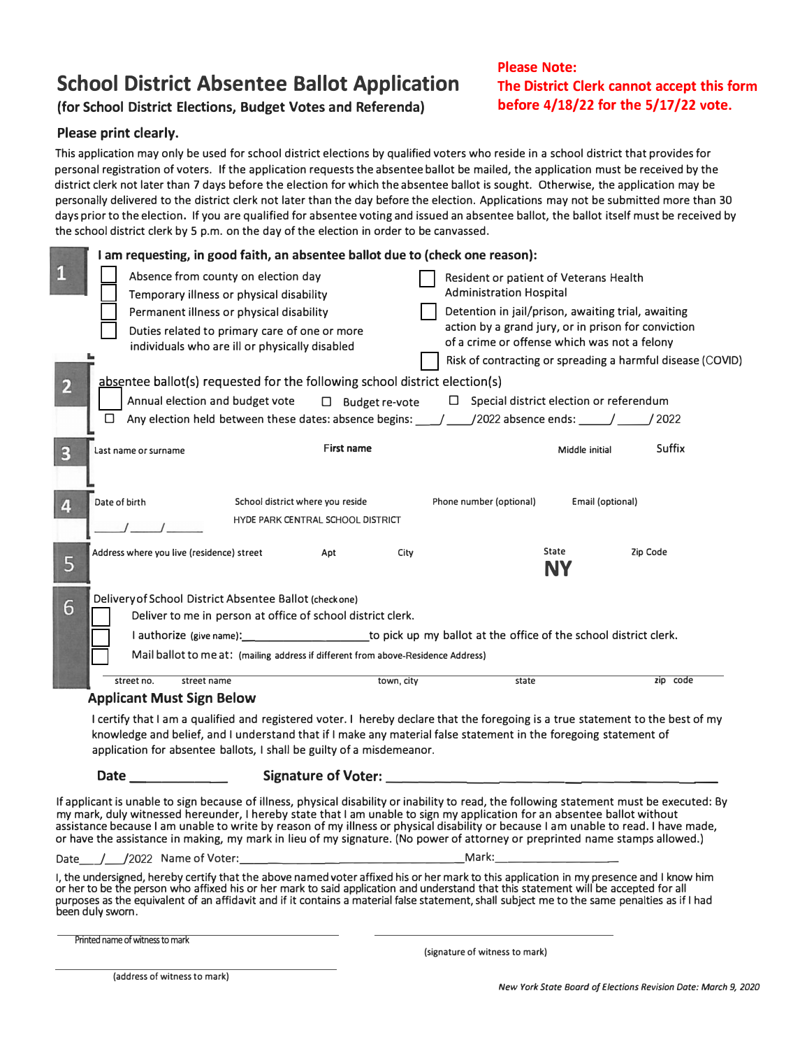# **School District Absentee Ballot Application**

**(for School District Elections, Budget Votes and Referenda)** 

## **Please print clearly.**

# This application may only be used for school district elections by qualified voters who reside in a school district that provides for personal registration of voters. If the application requests the absentee ballot be mailed, the application must be received by the district clerk not later than 7 days before the election for which the absentee ballot is sought. Otherwise, the application may be personally delivered to the district clerk not later than the day before the election. Applications may not be submitted more than 30 days prior to the election. If you are qualified for absentee voting and issued an absentee ballot, the ballot itself must be received by

|                     |                                                                                                                                                                                                                                                                                                                                                      | the school district clerk by 5 p.m. on the day of the election in order to be canvassed.                                                                                                                                                                                                                                            |                                   |                       |      |                                                                                                                                                                                                                                                                                                                                                                                                                                                    |                  |          |  |
|---------------------|------------------------------------------------------------------------------------------------------------------------------------------------------------------------------------------------------------------------------------------------------------------------------------------------------------------------------------------------------|-------------------------------------------------------------------------------------------------------------------------------------------------------------------------------------------------------------------------------------------------------------------------------------------------------------------------------------|-----------------------------------|-----------------------|------|----------------------------------------------------------------------------------------------------------------------------------------------------------------------------------------------------------------------------------------------------------------------------------------------------------------------------------------------------------------------------------------------------------------------------------------------------|------------------|----------|--|
|                     | I am requesting, in good faith, an absentee ballot due to (check one reason):                                                                                                                                                                                                                                                                        |                                                                                                                                                                                                                                                                                                                                     |                                   |                       |      |                                                                                                                                                                                                                                                                                                                                                                                                                                                    |                  |          |  |
| Д<br>$\overline{2}$ | Absence from county on election day<br>Temporary illness or physical disability<br>Permanent illness or physical disability<br>Duties related to primary care of one or more<br>individuals who are ill or physically disabled<br>absentee ballot(s) requested for the following school district election(s)<br>Annual election and budget vote<br>◻ |                                                                                                                                                                                                                                                                                                                                     |                                   | $\Box$ Budget re-vote |      | Resident or patient of Veterans Health<br><b>Administration Hospital</b><br>Detention in jail/prison, awaiting trial, awaiting<br>action by a grand jury, or in prison for conviction<br>of a crime or offense which was not a felony<br>Risk of contracting or spreading a harmful disease (COVID)<br>$\square$ Special district election or referendum<br>Any election held between these dates: absence begins: $/$ 2022 absence ends: // /2022 |                  |          |  |
| 3                   |                                                                                                                                                                                                                                                                                                                                                      | Last name or surname                                                                                                                                                                                                                                                                                                                |                                   | <b>First name</b>     |      |                                                                                                                                                                                                                                                                                                                                                                                                                                                    | Middle initial   | Suffix   |  |
| $\mathcal{L}$       | Date of birth                                                                                                                                                                                                                                                                                                                                        |                                                                                                                                                                                                                                                                                                                                     | School district where you reside  |                       |      | Phone number (optional)                                                                                                                                                                                                                                                                                                                                                                                                                            | Email (optional) |          |  |
|                     |                                                                                                                                                                                                                                                                                                                                                      |                                                                                                                                                                                                                                                                                                                                     | HYDE PARK CENTRAL SCHOOL DISTRICT |                       |      |                                                                                                                                                                                                                                                                                                                                                                                                                                                    |                  |          |  |
| 5                   |                                                                                                                                                                                                                                                                                                                                                      | Address where you live (residence) street                                                                                                                                                                                                                                                                                           |                                   | Apt                   | City |                                                                                                                                                                                                                                                                                                                                                                                                                                                    | State            | Zip Code |  |
| 6                   |                                                                                                                                                                                                                                                                                                                                                      | Delivery of School District Absentee Ballot (checkone)<br>Deliver to me in person at office of school district clerk.<br>I authorize (give name): ____________________________to pick up my ballot at the office of the school district clerk.<br>Mail ballot to me at: (mailing address if different from above-Residence Address) |                                   |                       |      |                                                                                                                                                                                                                                                                                                                                                                                                                                                    |                  |          |  |
|                     |                                                                                                                                                                                                                                                                                                                                                      | street no.<br>street name                                                                                                                                                                                                                                                                                                           |                                   | town, city            |      | state                                                                                                                                                                                                                                                                                                                                                                                                                                              |                  | zip code |  |
|                     |                                                                                                                                                                                                                                                                                                                                                      | <b>Applicant Must Sign Below</b><br>$\mathbf{r} \cdot \mathbf{r} = \mathbf{r} \cdot \mathbf{r}$ . The set of $\mathbf{r} \cdot \mathbf{r} = \mathbf{r} \cdot \mathbf{r}$                                                                                                                                                            |                                   |                       |      |                                                                                                                                                                                                                                                                                                                                                                                                                                                    |                  |          |  |

I certify that I am a qualified and registered voter. I hereby declare that the foregoing is a true statement to the best of my knowledge and belief, and I understand that if I make any material false statement in the foregoing statement of application for absentee ballots, I shall be guilty of a misdemeanor.

If applicant is unable to sign because of illness, physical disability or inability to read, the following statement must be executed: By my mark, duly witnessed hereunder, I hereby state that I am unable to sign my application for an absentee ballot without assistance because I am unable to write by reason of my illness or physical disability or because I am unable to read. I have made, or have the assistance in making, my mark in lieu of my signature. (No power of attorney or preprinted name stamps allowed.)

Date\_\_)\_\_} 2022 Name of Voter: \_\_\_\_\_\_\_\_\_\_\_\_\_\_\_\_Mark: \_\_\_\_\_\_\_\_\_

I, the undersigned, hereby certify that the above named voter affixed his or her mark to this application in my presence and I know him or her to be the person who affixed his or her mark to said application and understand that this statement will be accepted for all purposes as the equivalent of an affidavit and if it contains a material false statement, shall subject me to the same penalties as if I had been duly sworn.

Printed name of witness to mark

**(signature of witness to mark)** 

**(address of witness to mark)** 

# **Please Note: The District Clerk cannot accept this form before 4/18/22 for the 5/17/22 vote.**